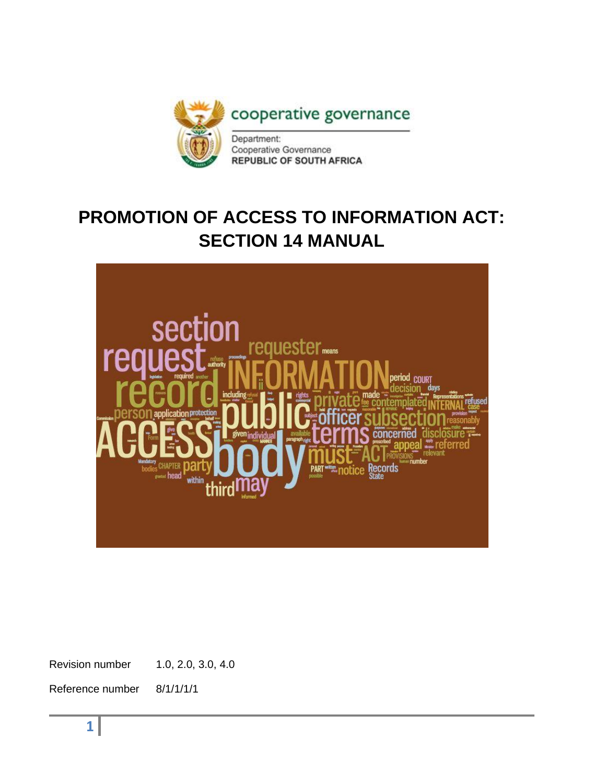

# **PROMOTION OF ACCESS TO INFORMATION ACT: SECTION 14 MANUAL**



Revision number 1.0, 2.0, 3.0, 4.0

Reference number 8/1/1/1/1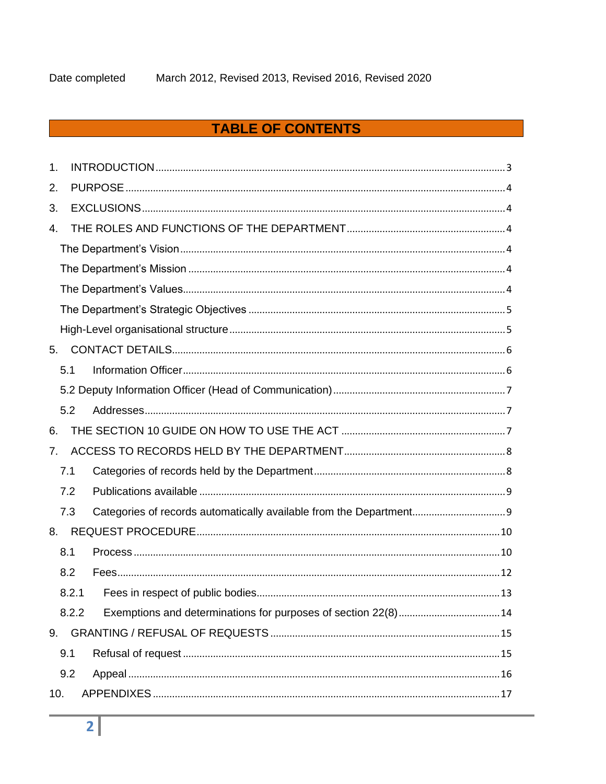# **TABLE OF CONTENTS**

| 1.  |       |  |
|-----|-------|--|
| 2.  |       |  |
| 3.  |       |  |
| 4.  |       |  |
|     |       |  |
|     |       |  |
|     |       |  |
|     |       |  |
|     |       |  |
| 5.  |       |  |
|     | 5.1   |  |
|     |       |  |
|     | 5.2   |  |
| 6.  |       |  |
| 7.  |       |  |
|     | 7.1   |  |
|     | 7.2   |  |
|     | 7.3   |  |
| 8.  |       |  |
|     | 8.1   |  |
|     | 8.2   |  |
|     | 8.2.1 |  |
|     | 8.2.2 |  |
| 9.  |       |  |
|     | 9.1   |  |
|     | 9.2   |  |
| 10. |       |  |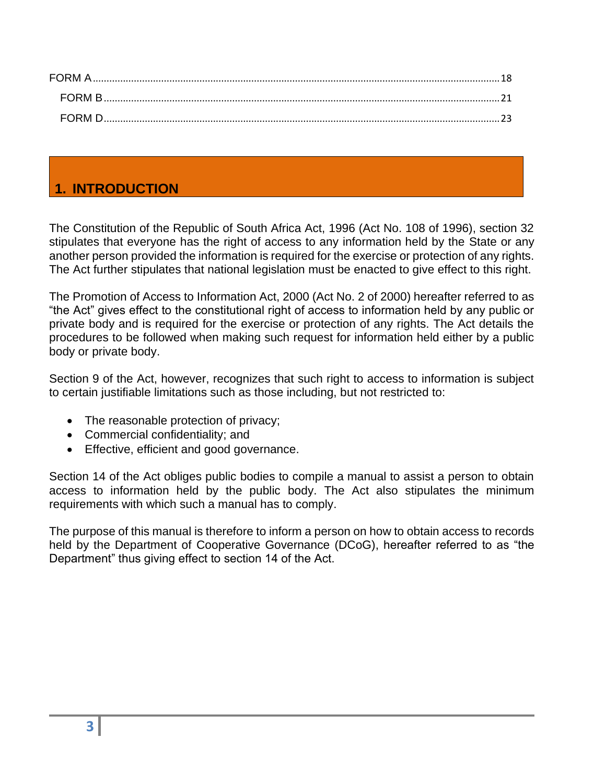| FORM A |  |
|--------|--|
| FORM B |  |
| EQRM D |  |

# <span id="page-2-0"></span>**1. INTRODUCTION**

The Constitution of the Republic of South Africa Act, 1996 (Act No. 108 of 1996), section 32 stipulates that everyone has the right of access to any information held by the State or any another person provided the information is required for the exercise or protection of any rights. The Act further stipulates that national legislation must be enacted to give effect to this right.

The Promotion of Access to Information Act, 2000 (Act No. 2 of 2000) hereafter referred to as "the Act" gives effect to the constitutional right of access to information held by any public or private body and is required for the exercise or protection of any rights. The Act details the procedures to be followed when making such request for information held either by a public body or private body.

Section 9 of the Act, however, recognizes that such right to access to information is subject to certain justifiable limitations such as those including, but not restricted to:

- The reasonable protection of privacy;
- Commercial confidentiality; and
- Effective, efficient and good governance.

Section 14 of the Act obliges public bodies to compile a manual to assist a person to obtain access to information held by the public body. The Act also stipulates the minimum requirements with which such a manual has to comply.

The purpose of this manual is therefore to inform a person on how to obtain access to records held by the Department of Cooperative Governance (DCoG), hereafter referred to as "the Department" thus giving effect to section 14 of the Act.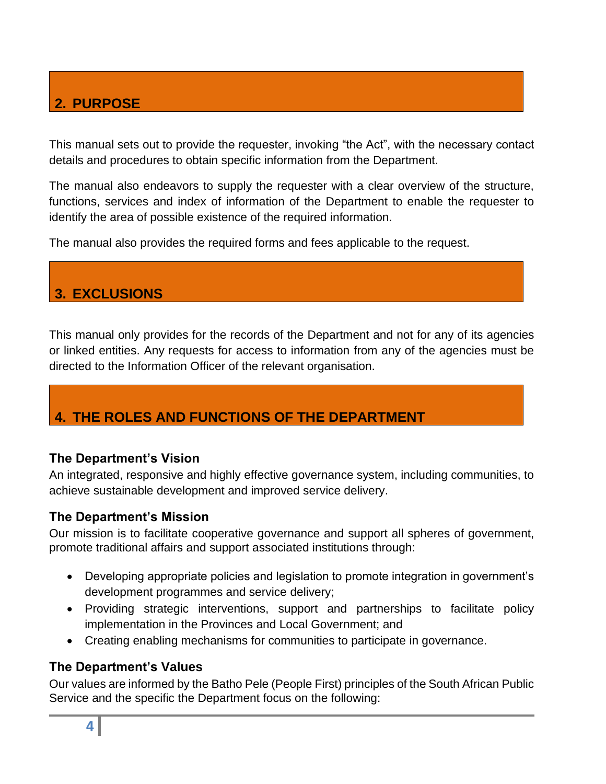# <span id="page-3-0"></span>**2. PURPOSE**

This manual sets out to provide the requester, invoking "the Act", with the necessary contact details and procedures to obtain specific information from the Department.

The manual also endeavors to supply the requester with a clear overview of the structure, functions, services and index of information of the Department to enable the requester to identify the area of possible existence of the required information.

The manual also provides the required forms and fees applicable to the request.

# <span id="page-3-1"></span>**3. EXCLUSIONS**

This manual only provides for the records of the Department and not for any of its agencies or linked entities. Any requests for access to information from any of the agencies must be directed to the Information Officer of the relevant organisation.

# <span id="page-3-2"></span>**4. THE ROLES AND FUNCTIONS OF THE DEPARTMENT**

## <span id="page-3-3"></span>**The Department's Vision**

An integrated, responsive and highly effective governance system, including communities, to achieve sustainable development and improved service delivery.

## <span id="page-3-4"></span>**The Department's Mission**

Our mission is to facilitate cooperative governance and support all spheres of government, promote traditional affairs and support associated institutions through:

- Developing appropriate policies and legislation to promote integration in government's development programmes and service delivery;
- Providing strategic interventions, support and partnerships to facilitate policy implementation in the Provinces and Local Government; and
- Creating enabling mechanisms for communities to participate in governance.

## <span id="page-3-5"></span>**The Department's Values**

Our values are informed by the Batho Pele (People First) principles of the South African Public Service and the specific the Department focus on the following: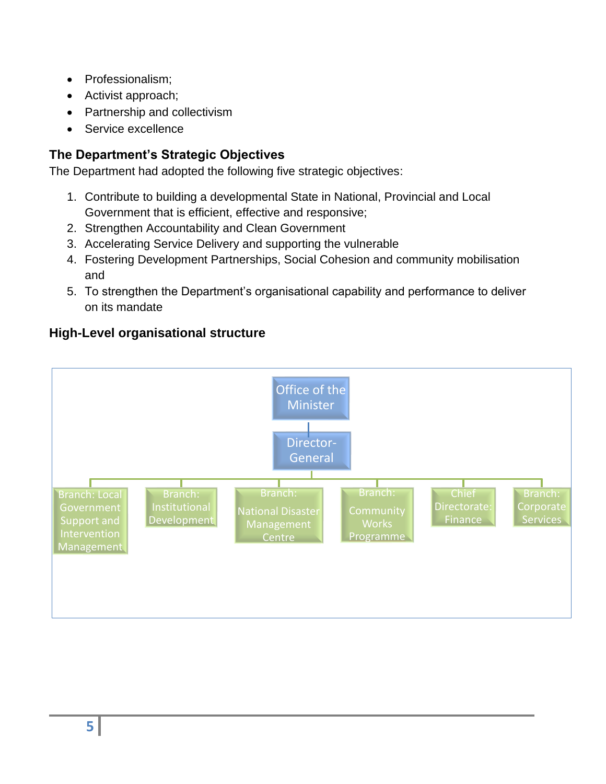- Professionalism;
- Activist approach;
- Partnership and collectivism
- Service excellence

# <span id="page-4-0"></span>**The Department's Strategic Objectives**

The Department had adopted the following five strategic objectives:

- 1. Contribute to building a developmental State in National, Provincial and Local Government that is efficient, effective and responsive;
- 2. Strengthen Accountability and Clean Government
- 3. Accelerating Service Delivery and supporting the vulnerable
- 4. Fostering Development Partnerships, Social Cohesion and community mobilisation and
- 5. To strengthen the Department's organisational capability and performance to deliver on its mandate



## <span id="page-4-1"></span>**High-Level organisational structure**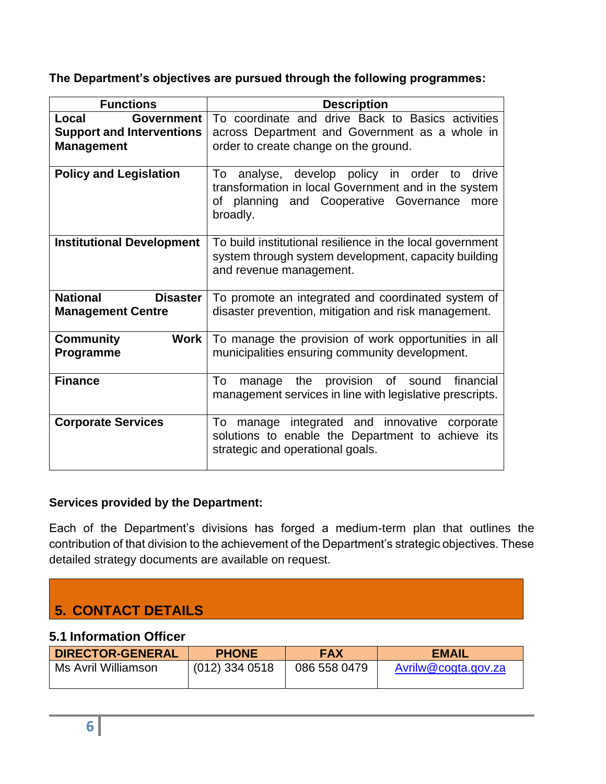## **The Department's objectives are pursued through the following programmes:**

| <b>Functions</b>                                                                    | <b>Description</b>                                                                                                                                                    |
|-------------------------------------------------------------------------------------|-----------------------------------------------------------------------------------------------------------------------------------------------------------------------|
| Local<br><b>Government</b><br><b>Support and Interventions</b><br><b>Management</b> | To coordinate and drive Back to Basics activities<br>across Department and Government as a whole in<br>order to create change on the ground.                          |
| <b>Policy and Legislation</b>                                                       | To analyse, develop policy in order to<br>drive<br>transformation in local Government and in the system<br>of planning and Cooperative Governance<br>more<br>broadly. |
| <b>Institutional Development</b>                                                    | To build institutional resilience in the local government<br>system through system development, capacity building<br>and revenue management.                          |
| <b>National</b><br><b>Disaster</b><br><b>Management Centre</b>                      | To promote an integrated and coordinated system of<br>disaster prevention, mitigation and risk management.                                                            |
| <b>Community</b><br><b>Work</b><br>Programme                                        | To manage the provision of work opportunities in all<br>municipalities ensuring community development.                                                                |
| <b>Finance</b>                                                                      | the provision<br>To<br>of<br>financial<br>sound<br>manage<br>management services in line with legislative prescripts.                                                 |
| <b>Corporate Services</b>                                                           | To manage integrated and innovative corporate<br>solutions to enable the Department to achieve its<br>strategic and operational goals.                                |

## **Services provided by the Department:**

Each of the Department's divisions has forged a medium-term plan that outlines the contribution of that division to the achievement of the Department's strategic objectives. These detailed strategy documents are available on request.

# <span id="page-5-0"></span>**5. CONTACT DETAILS**

## <span id="page-5-1"></span>**5.1 Information Officer**

| <b>DIRECTOR-GENERAL</b> | <b>PHONE</b>     | <b>FAX</b>   | <b>EMAIL</b>        |
|-------------------------|------------------|--------------|---------------------|
| Ms Avril Williamson     | $(012)$ 334 0518 | 086 558 0479 | Avrilw@cogta.gov.za |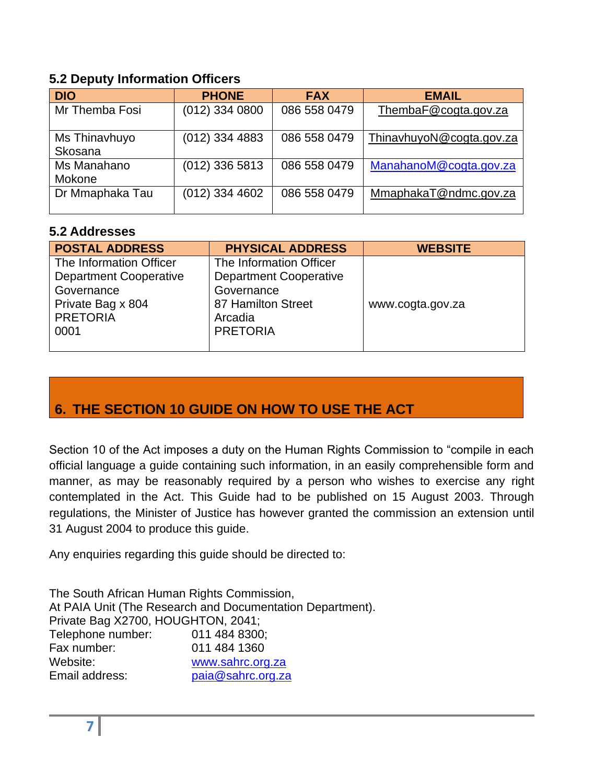## <span id="page-6-0"></span>**5.2 Deputy Information Officers**

| <b>DIO</b>               | <b>PHONE</b>     | <b>FAX</b>   | <b>EMAIL</b>             |
|--------------------------|------------------|--------------|--------------------------|
| Mr Themba Fosi           | $(012)$ 334 0800 | 086 558 0479 | ThembaF@cogta.gov.za     |
| Ms Thinavhuyo<br>Skosana | $(012)$ 334 4883 | 086 558 0479 | ThinavhuyoN@cogta.gov.za |
| Ms Manahano<br>Mokone    | $(012)$ 336 5813 | 086 558 0479 | ManahanoM@cogta.gov.za   |
| Dr Mmaphaka Tau          | $(012)$ 334 4602 | 086 558 0479 | MmaphakaT@ndmc.gov.za    |

## <span id="page-6-1"></span>**5.2 Addresses**

| <b>POSTAL ADDRESS</b>         | <b>PHYSICAL ADDRESS</b>       | <b>WEBSITE</b>   |
|-------------------------------|-------------------------------|------------------|
| The Information Officer       | The Information Officer       |                  |
| <b>Department Cooperative</b> | <b>Department Cooperative</b> |                  |
| Governance                    | Governance                    |                  |
| Private Bag x 804             | 87 Hamilton Street            | www.cogta.gov.za |
| <b>PRETORIA</b>               | Arcadia                       |                  |
| 0001                          | <b>PRETORIA</b>               |                  |
|                               |                               |                  |

# <span id="page-6-2"></span>**6. THE SECTION 10 GUIDE ON HOW TO USE THE ACT**

Section 10 of the Act imposes a duty on the Human Rights Commission to "compile in each official language a guide containing such information, in an easily comprehensible form and manner, as may be reasonably required by a person who wishes to exercise any right contemplated in the Act. This Guide had to be published on 15 August 2003. Through regulations, the Minister of Justice has however granted the commission an extension until 31 August 2004 to produce this guide.

Any enquiries regarding this guide should be directed to:

The South African Human Rights Commission, At PAIA Unit (The Research and Documentation Department). Private Bag X2700, HOUGHTON, 2041; Telephone number: 011 484 8300; Fax number: 011 484 1360 Website: [www.sahrc.org.za](http://www.sahrc.org.za/) Email address: [paia@sahrc.org.za](mailto:paia@sahrc.org.za)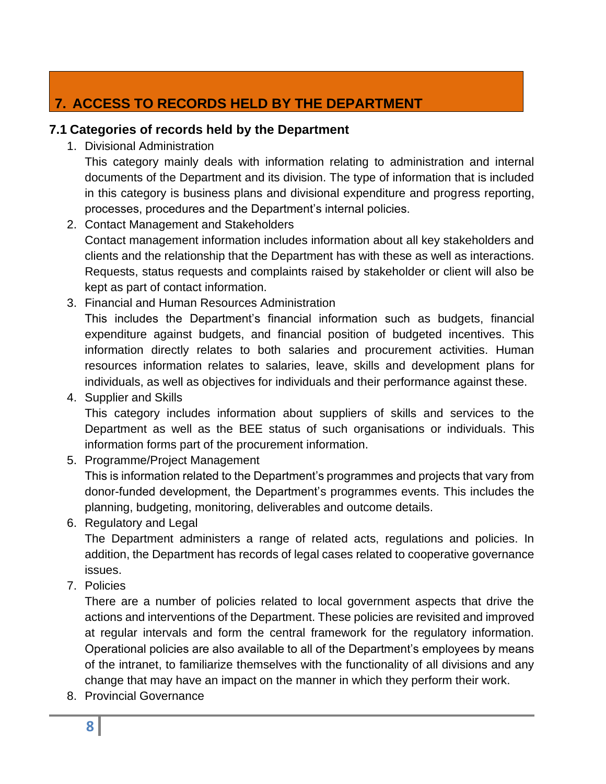# <span id="page-7-0"></span>**7. ACCESS TO RECORDS HELD BY THE DEPARTMENT**

## <span id="page-7-1"></span>**7.1 Categories of records held by the Department**

1. Divisional Administration

This category mainly deals with information relating to administration and internal documents of the Department and its division. The type of information that is included in this category is business plans and divisional expenditure and progress reporting, processes, procedures and the Department's internal policies.

2. Contact Management and Stakeholders

Contact management information includes information about all key stakeholders and clients and the relationship that the Department has with these as well as interactions. Requests, status requests and complaints raised by stakeholder or client will also be kept as part of contact information.

3. Financial and Human Resources Administration

This includes the Department's financial information such as budgets, financial expenditure against budgets, and financial position of budgeted incentives. This information directly relates to both salaries and procurement activities. Human resources information relates to salaries, leave, skills and development plans for individuals, as well as objectives for individuals and their performance against these.

4. Supplier and Skills

This category includes information about suppliers of skills and services to the Department as well as the BEE status of such organisations or individuals. This information forms part of the procurement information.

- 5. Programme/Project Management This is information related to the Department's programmes and projects that vary from donor-funded development, the Department's programmes events. This includes the planning, budgeting, monitoring, deliverables and outcome details.
- 6. Regulatory and Legal

The Department administers a range of related acts, regulations and policies. In addition, the Department has records of legal cases related to cooperative governance issues.

7. Policies

There are a number of policies related to local government aspects that drive the actions and interventions of the Department. These policies are revisited and improved at regular intervals and form the central framework for the regulatory information. Operational policies are also available to all of the Department's employees by means of the intranet, to familiarize themselves with the functionality of all divisions and any change that may have an impact on the manner in which they perform their work.

8. Provincial Governance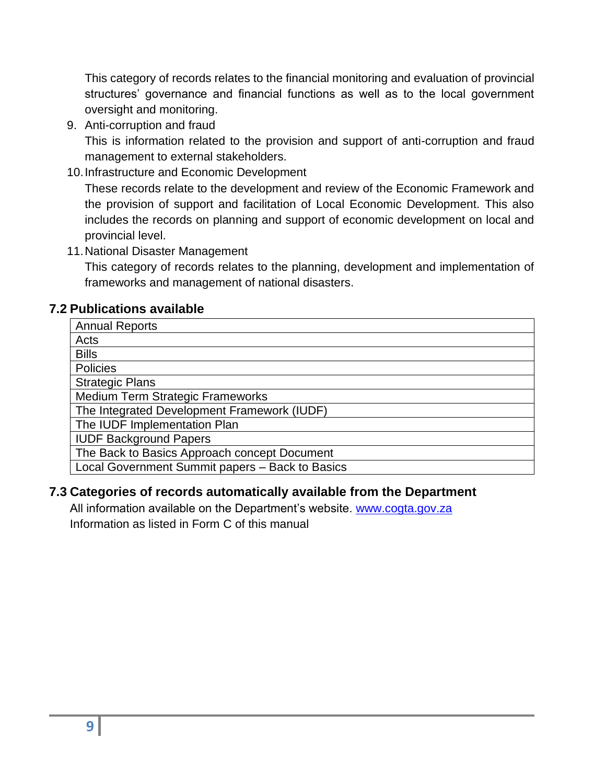This category of records relates to the financial monitoring and evaluation of provincial structures' governance and financial functions as well as to the local government oversight and monitoring.

9. Anti-corruption and fraud

This is information related to the provision and support of anti-corruption and fraud management to external stakeholders.

10.Infrastructure and Economic Development

These records relate to the development and review of the Economic Framework and the provision of support and facilitation of Local Economic Development. This also includes the records on planning and support of economic development on local and provincial level.

11.National Disaster Management

This category of records relates to the planning, development and implementation of frameworks and management of national disasters.

## <span id="page-8-0"></span>**7.2 Publications available**

| <b>Annual Reports</b>                           |
|-------------------------------------------------|
| Acts                                            |
| <b>Bills</b>                                    |
| Policies                                        |
| <b>Strategic Plans</b>                          |
| Medium Term Strategic Frameworks                |
| The Integrated Development Framework (IUDF)     |
| The IUDF Implementation Plan                    |
| <b>IUDF Background Papers</b>                   |
| The Back to Basics Approach concept Document    |
| Local Government Summit papers - Back to Basics |

## <span id="page-8-1"></span>**7.3 Categories of records automatically available from the Department**

All information available on the Department's website. [www.cogta.gov.za](http://www.cogta.gov.za/) Information as listed in Form C of this manual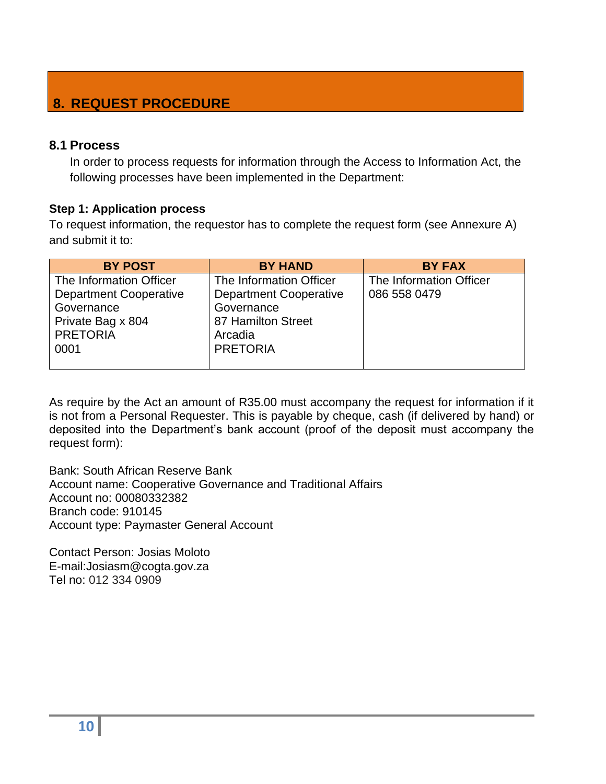# <span id="page-9-0"></span>**8. REQUEST PROCEDURE**

#### <span id="page-9-1"></span>**8.1 Process**

In order to process requests for information through the Access to Information Act, the following processes have been implemented in the Department:

#### **Step 1: Application process**

To request information, the requestor has to complete the request form (see Annexure A) and submit it to:

| <b>BY POST</b>                                                                                                         | <b>BY HAND</b>                                                                                                             | <b>BY FAX</b>                           |
|------------------------------------------------------------------------------------------------------------------------|----------------------------------------------------------------------------------------------------------------------------|-----------------------------------------|
| The Information Officer<br><b>Department Cooperative</b><br>Governance<br>Private Bag x 804<br><b>PRETORIA</b><br>0001 | The Information Officer<br><b>Department Cooperative</b><br>Governance<br>87 Hamilton Street<br>Arcadia<br><b>PRETORIA</b> | The Information Officer<br>086 558 0479 |

As require by the Act an amount of R35.00 must accompany the request for information if it is not from a Personal Requester. This is payable by cheque, cash (if delivered by hand) or deposited into the Department's bank account (proof of the deposit must accompany the request form):

Bank: South African Reserve Bank Account name: Cooperative Governance and Traditional Affairs Account no: 00080332382 Branch code: 910145 Account type: Paymaster General Account

Contact Person: Josias Moloto E-mail:Josiasm@cogta.gov.za Tel no: 012 334 0909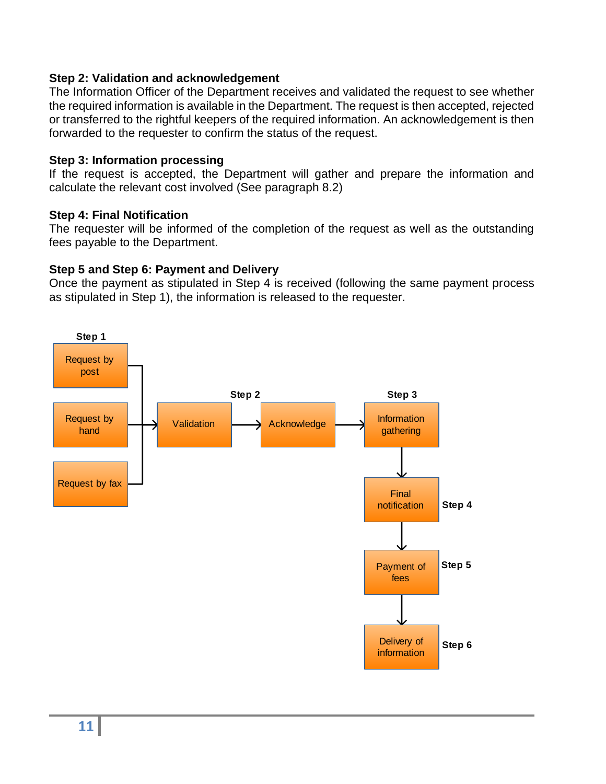#### **Step 2: Validation and acknowledgement**

The Information Officer of the Department receives and validated the request to see whether the required information is available in the Department. The request is then accepted, rejected or transferred to the rightful keepers of the required information. An acknowledgement is then forwarded to the requester to confirm the status of the request.

#### **Step 3: Information processing**

If the request is accepted, the Department will gather and prepare the information and calculate the relevant cost involved (See paragraph 8.2)

## **Step 4: Final Notification**

The requester will be informed of the completion of the request as well as the outstanding fees payable to the Department.

## **Step 5 and Step 6: Payment and Delivery**

Once the payment as stipulated in Step 4 is received (following the same payment process as stipulated in Step 1), the information is released to the requester.

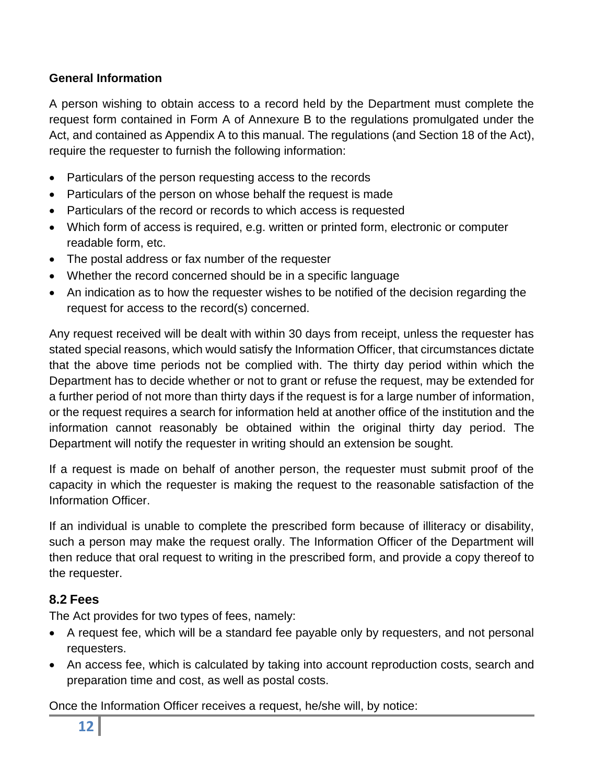## **General Information**

A person wishing to obtain access to a record held by the Department must complete the request form contained in Form A of Annexure B to the regulations promulgated under the Act, and contained as Appendix A to this manual. The regulations (and Section 18 of the Act), require the requester to furnish the following information:

- Particulars of the person requesting access to the records
- Particulars of the person on whose behalf the request is made
- Particulars of the record or records to which access is requested
- Which form of access is required, e.g. written or printed form, electronic or computer readable form, etc.
- The postal address or fax number of the requester
- Whether the record concerned should be in a specific language
- An indication as to how the requester wishes to be notified of the decision regarding the request for access to the record(s) concerned.

Any request received will be dealt with within 30 days from receipt, unless the requester has stated special reasons, which would satisfy the Information Officer, that circumstances dictate that the above time periods not be complied with. The thirty day period within which the Department has to decide whether or not to grant or refuse the request, may be extended for a further period of not more than thirty days if the request is for a large number of information, or the request requires a search for information held at another office of the institution and the information cannot reasonably be obtained within the original thirty day period. The Department will notify the requester in writing should an extension be sought.

If a request is made on behalf of another person, the requester must submit proof of the capacity in which the requester is making the request to the reasonable satisfaction of the Information Officer.

If an individual is unable to complete the prescribed form because of illiteracy or disability, such a person may make the request orally. The Information Officer of the Department will then reduce that oral request to writing in the prescribed form, and provide a copy thereof to the requester.

## <span id="page-11-0"></span>**8.2 Fees**

The Act provides for two types of fees, namely:

- A request fee, which will be a standard fee payable only by requesters, and not personal requesters.
- An access fee, which is calculated by taking into account reproduction costs, search and preparation time and cost, as well as postal costs.

Once the Information Officer receives a request, he/she will, by notice: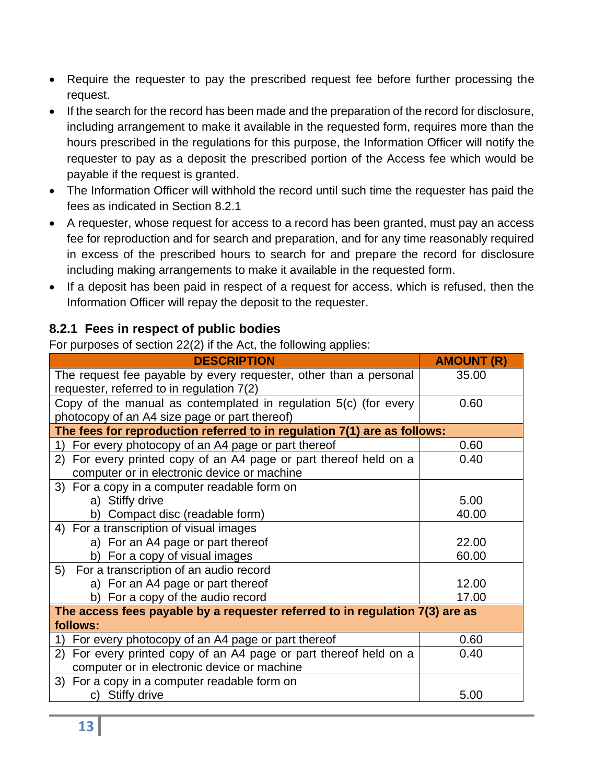- Require the requester to pay the prescribed request fee before further processing the request.
- If the search for the record has been made and the preparation of the record for disclosure, including arrangement to make it available in the requested form, requires more than the hours prescribed in the regulations for this purpose, the Information Officer will notify the requester to pay as a deposit the prescribed portion of the Access fee which would be payable if the request is granted.
- The Information Officer will withhold the record until such time the requester has paid the fees as indicated in Section 8.2.1
- A requester, whose request for access to a record has been granted, must pay an access fee for reproduction and for search and preparation, and for any time reasonably required in excess of the prescribed hours to search for and prepare the record for disclosure including making arrangements to make it available in the requested form.
- If a deposit has been paid in respect of a request for access, which is refused, then the Information Officer will repay the deposit to the requester.

# <span id="page-12-0"></span>**8.2.1 Fees in respect of public bodies**

For purposes of section 22(2) if the Act, the following applies:

| <b>DESCRIPTION</b>                                                                                                | <b>AMOUNT (R)</b> |  |  |
|-------------------------------------------------------------------------------------------------------------------|-------------------|--|--|
| The request fee payable by every requester, other than a personal<br>requester, referred to in regulation 7(2)    | 35.00             |  |  |
| Copy of the manual as contemplated in regulation 5(c) (for every<br>photocopy of an A4 size page or part thereof) | 0.60              |  |  |
| The fees for reproduction referred to in regulation 7(1) are as follows:                                          |                   |  |  |
| 1) For every photocopy of an A4 page or part thereof                                                              | 0.60              |  |  |
| 2) For every printed copy of an A4 page or part thereof held on a<br>computer or in electronic device or machine  | 0.40              |  |  |
| 3) For a copy in a computer readable form on                                                                      |                   |  |  |
| a) Stiffy drive                                                                                                   | 5.00              |  |  |
| b) Compact disc (readable form)                                                                                   | 40.00             |  |  |
| 4) For a transcription of visual images                                                                           |                   |  |  |
| a) For an A4 page or part thereof                                                                                 | 22.00             |  |  |
| b) For a copy of visual images                                                                                    | 60.00             |  |  |
| 5) For a transcription of an audio record                                                                         |                   |  |  |
| a) For an A4 page or part thereof                                                                                 | 12.00             |  |  |
| b) For a copy of the audio record                                                                                 | 17.00             |  |  |
| The access fees payable by a requester referred to in regulation 7(3) are as<br>follows:                          |                   |  |  |
| 1) For every photocopy of an A4 page or part thereof                                                              | 0.60              |  |  |
| 2) For every printed copy of an A4 page or part thereof held on a<br>computer or in electronic device or machine  | 0.40              |  |  |
| 3) For a copy in a computer readable form on                                                                      |                   |  |  |
| c) Stiffy drive                                                                                                   | 5.00              |  |  |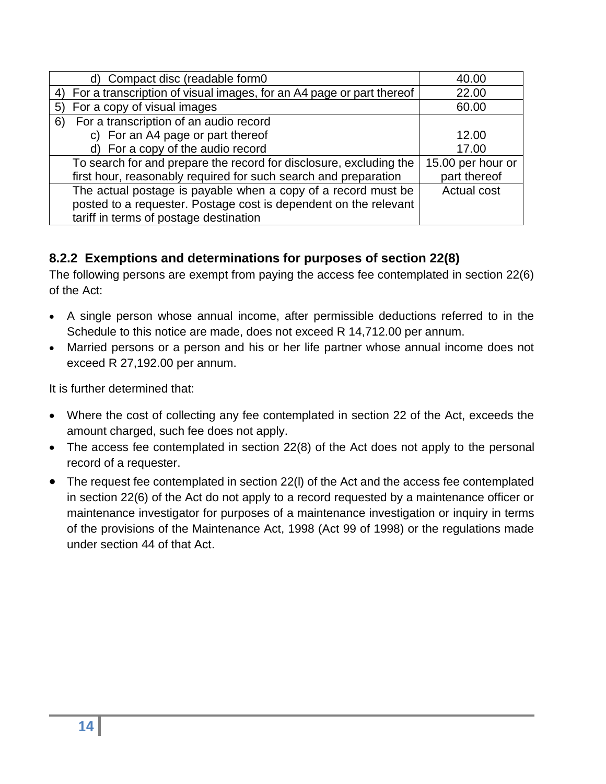| d) Compact disc (readable form0                                         | 40.00              |
|-------------------------------------------------------------------------|--------------------|
| 4) For a transcription of visual images, for an A4 page or part thereof | 22.00              |
| For a copy of visual images<br>5)                                       | 60.00              |
| For a transcription of an audio record<br>6)                            |                    |
| c) For an A4 page or part thereof                                       | 12.00              |
| d) For a copy of the audio record                                       | 17.00              |
| To search for and prepare the record for disclosure, excluding the      | 15.00 per hour or  |
| first hour, reasonably required for such search and preparation         | part thereof       |
| The actual postage is payable when a copy of a record must be           | <b>Actual cost</b> |
| posted to a requester. Postage cost is dependent on the relevant        |                    |
| tariff in terms of postage destination                                  |                    |

# <span id="page-13-0"></span>**8.2.2 Exemptions and determinations for purposes of section 22(8)**

The following persons are exempt from paying the access fee contemplated in section 22(6) of the Act:

- A single person whose annual income, after permissible deductions referred to in the Schedule to this notice are made, does not exceed R 14,712.00 per annum.
- Married persons or a person and his or her life partner whose annual income does not exceed R 27,192.00 per annum.

It is further determined that:

- Where the cost of collecting any fee contemplated in section 22 of the Act, exceeds the amount charged, such fee does not apply.
- The access fee contemplated in section 22(8) of the Act does not apply to the personal record of a requester.
- The request fee contemplated in section 22(l) of the Act and the access fee contemplated in section 22(6) of the Act do not apply to a record requested by a maintenance officer or maintenance investigator for purposes of a maintenance investigation or inquiry in terms of the provisions of the Maintenance Act, 1998 (Act 99 of 1998) or the regulations made under section 44 of that Act.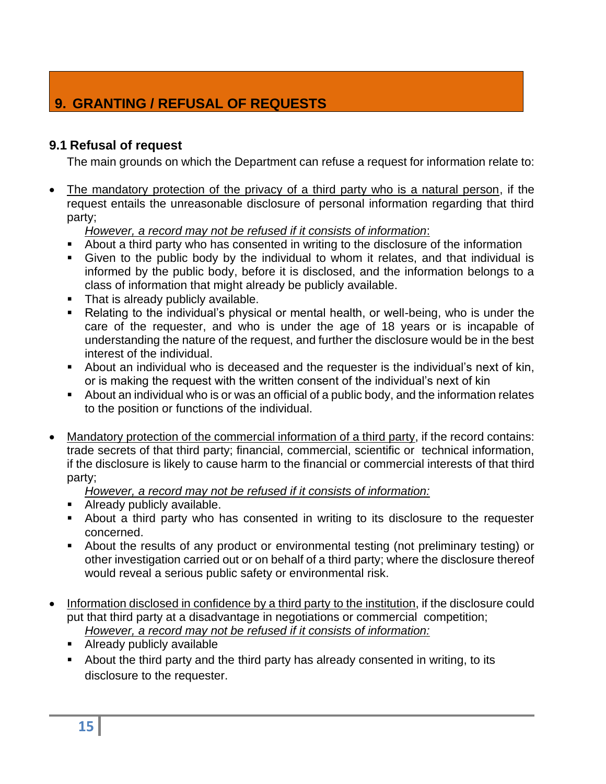# <span id="page-14-0"></span>**9. GRANTING / REFUSAL OF REQUESTS**

## <span id="page-14-1"></span>**9.1 Refusal of request**

The main grounds on which the Department can refuse a request for information relate to:

The mandatory protection of the privacy of a third party who is a natural person, if the request entails the unreasonable disclosure of personal information regarding that third party;

*However, a record may not be refused if it consists of information*:

- About a third party who has consented in writing to the disclosure of the information
- Given to the public body by the individual to whom it relates, and that individual is informed by the public body, before it is disclosed, and the information belongs to a class of information that might already be publicly available.
- That is already publicly available.
- Relating to the individual's physical or mental health, or well-being, who is under the care of the requester, and who is under the age of 18 years or is incapable of understanding the nature of the request, and further the disclosure would be in the best interest of the individual.
- **EXED** About an individual who is deceased and the requester is the individual's next of kin, or is making the request with the written consent of the individual's next of kin
- About an individual who is or was an official of a public body, and the information relates to the position or functions of the individual.
- Mandatory protection of the commercial information of a third party, if the record contains: trade secrets of that third party; financial, commercial, scientific or technical information, if the disclosure is likely to cause harm to the financial or commercial interests of that third party;

*However, a record may not be refused if it consists of information:*

- **E** Already publicly available.
- About a third party who has consented in writing to its disclosure to the requester concerned.
- About the results of any product or environmental testing (not preliminary testing) or other investigation carried out or on behalf of a third party; where the disclosure thereof would reveal a serious public safety or environmental risk.
- Information disclosed in confidence by a third party to the institution, if the disclosure could put that third party at a disadvantage in negotiations or commercial competition; *However, a record may not be refused if it consists of information:*
	- Already publicly available
	- About the third party and the third party has already consented in writing, to its disclosure to the requester.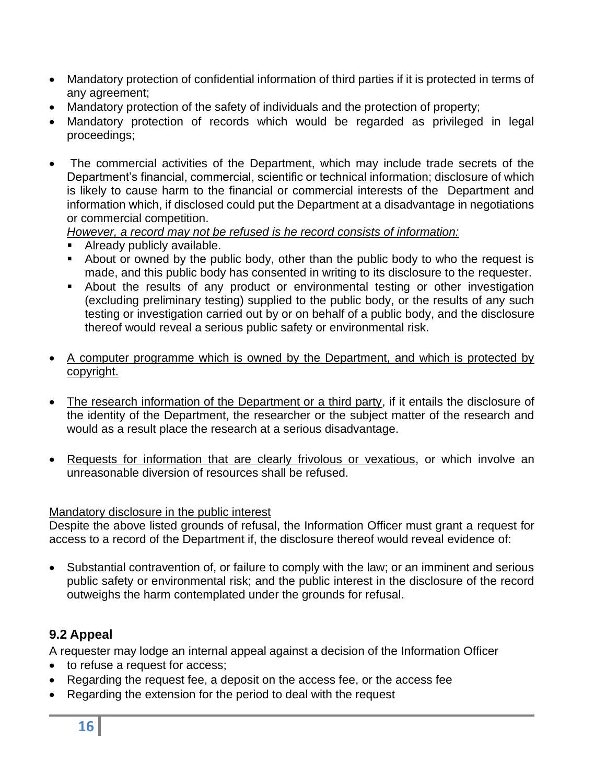- Mandatory protection of confidential information of third parties if it is protected in terms of any agreement;
- Mandatory protection of the safety of individuals and the protection of property;
- Mandatory protection of records which would be regarded as privileged in legal proceedings;
- The commercial activities of the Department, which may include trade secrets of the Department's financial, commercial, scientific or technical information; disclosure of which is likely to cause harm to the financial or commercial interests of the Department and information which, if disclosed could put the Department at a disadvantage in negotiations or commercial competition.

*However, a record may not be refused is he record consists of information:*

- Already publicly available.
- About or owned by the public body, other than the public body to who the request is made, and this public body has consented in writing to its disclosure to the requester.
- **EXE** About the results of any product or environmental testing or other investigation (excluding preliminary testing) supplied to the public body, or the results of any such testing or investigation carried out by or on behalf of a public body, and the disclosure thereof would reveal a serious public safety or environmental risk.
- A computer programme which is owned by the Department, and which is protected by copyright.
- The research information of the Department or a third party, if it entails the disclosure of the identity of the Department, the researcher or the subject matter of the research and would as a result place the research at a serious disadvantage.
- Requests for information that are clearly frivolous or vexatious, or which involve an unreasonable diversion of resources shall be refused.

## Mandatory disclosure in the public interest

Despite the above listed grounds of refusal, the Information Officer must grant a request for access to a record of the Department if, the disclosure thereof would reveal evidence of:

• Substantial contravention of, or failure to comply with the law; or an imminent and serious public safety or environmental risk; and the public interest in the disclosure of the record outweighs the harm contemplated under the grounds for refusal.

## <span id="page-15-0"></span>**9.2 Appeal**

A requester may lodge an internal appeal against a decision of the Information Officer

- to refuse a request for access;
- Regarding the request fee, a deposit on the access fee, or the access fee
- Regarding the extension for the period to deal with the request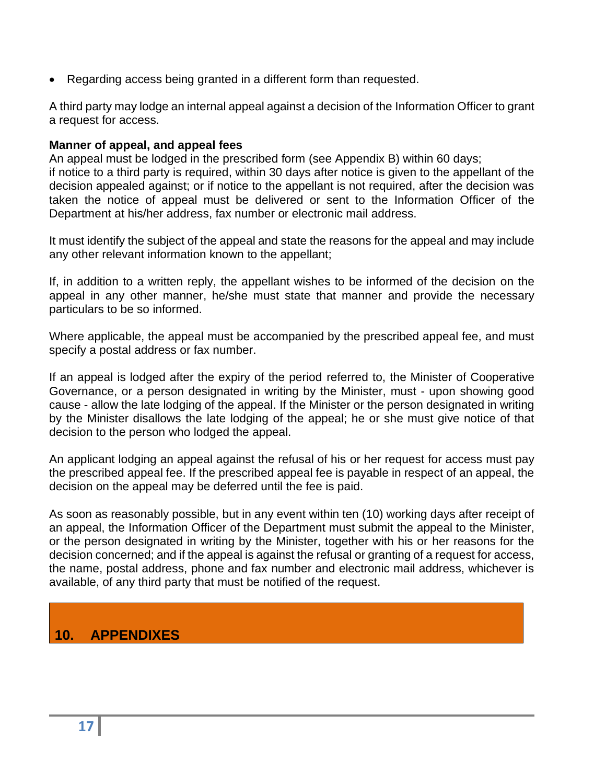• Regarding access being granted in a different form than requested.

A third party may lodge an internal appeal against a decision of the Information Officer to grant a request for access.

#### **Manner of appeal, and appeal fees**

An appeal must be lodged in the prescribed form (see Appendix B) within 60 days; if notice to a third party is required, within 30 days after notice is given to the appellant of the decision appealed against; or if notice to the appellant is not required, after the decision was taken the notice of appeal must be delivered or sent to the Information Officer of the Department at his/her address, fax number or electronic mail address.

It must identify the subject of the appeal and state the reasons for the appeal and may include any other relevant information known to the appellant;

If, in addition to a written reply, the appellant wishes to be informed of the decision on the appeal in any other manner, he/she must state that manner and provide the necessary particulars to be so informed.

Where applicable, the appeal must be accompanied by the prescribed appeal fee, and must specify a postal address or fax number.

If an appeal is lodged after the expiry of the period referred to, the Minister of Cooperative Governance, or a person designated in writing by the Minister, must - upon showing good cause - allow the late lodging of the appeal. If the Minister or the person designated in writing by the Minister disallows the late lodging of the appeal; he or she must give notice of that decision to the person who lodged the appeal.

An applicant lodging an appeal against the refusal of his or her request for access must pay the prescribed appeal fee. If the prescribed appeal fee is payable in respect of an appeal, the decision on the appeal may be deferred until the fee is paid.

As soon as reasonably possible, but in any event within ten (10) working days after receipt of an appeal, the Information Officer of the Department must submit the appeal to the Minister, or the person designated in writing by the Minister, together with his or her reasons for the decision concerned; and if the appeal is against the refusal or granting of a request for access, the name, postal address, phone and fax number and electronic mail address, whichever is available, of any third party that must be notified of the request.

# <span id="page-16-0"></span>**10. APPENDIXES**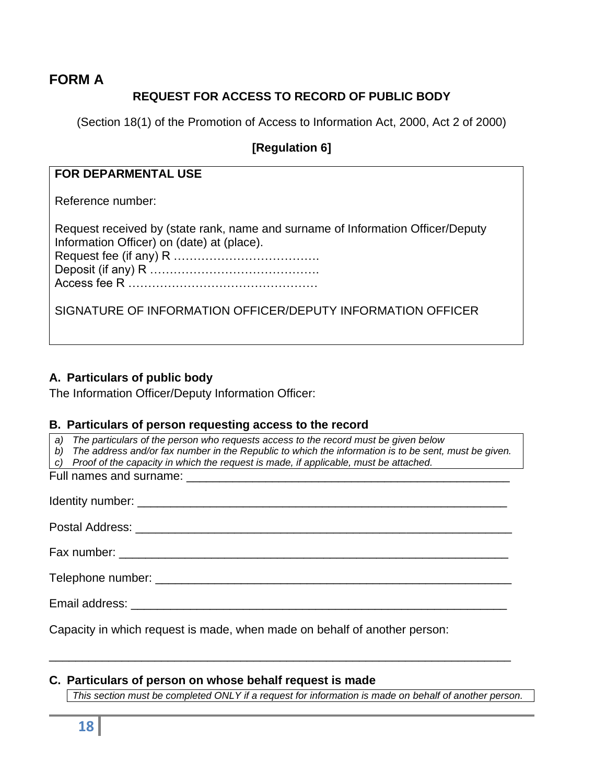### <span id="page-17-0"></span>**FORM A**

## **REQUEST FOR ACCESS TO RECORD OF PUBLIC BODY**

(Section 18(1) of the Promotion of Access to Information Act, 2000, Act 2 of 2000)

#### **[Regulation 6]**

#### **FOR DEPARMENTAL USE**

Reference number:

| Request received by (state rank, name and surname of Information Officer/Deputy |
|---------------------------------------------------------------------------------|
| Information Officer) on (date) at (place).                                      |
|                                                                                 |
|                                                                                 |
|                                                                                 |

SIGNATURE OF INFORMATION OFFICER/DEPUTY INFORMATION OFFICER

#### **A. Particulars of public body**

The Information Officer/Deputy Information Officer:

#### **B. Particulars of person requesting access to the record**

*a) The particulars of the person who requests access to the record must be given below*

- *b) The address and/or fax number in the Republic to which the information is to be sent, must be given.*
- *c) Proof of the capacity in which the request is made, if applicable, must be attached.*

Full names and surname:  $\overline{a}$ 

Identity number: \_\_\_\_\_\_\_\_\_\_\_\_\_\_\_\_\_\_\_\_\_\_\_\_\_\_\_\_\_\_\_\_\_\_\_\_\_\_\_\_\_\_\_\_\_\_\_\_\_\_\_\_\_\_\_\_

Postal Address: **with a set of the set of the set of the set of the set of the set of the set of the set of the set of the set of the set of the set of the set of the set of the set of the set of the set of the set of the** 

Fax number: \_\_\_\_\_\_\_\_\_\_\_\_\_\_\_\_\_\_\_\_\_\_\_\_\_\_\_\_\_\_\_\_\_\_\_\_\_\_\_\_\_\_\_\_\_\_\_\_\_\_\_\_\_\_\_\_\_\_\_

\_\_\_\_\_\_\_\_\_\_\_\_\_\_\_\_\_\_\_\_\_\_\_\_\_\_\_\_\_\_\_\_\_\_\_\_\_\_\_\_\_\_\_\_\_\_\_\_\_\_\_\_\_\_\_\_\_\_\_\_\_\_\_\_\_\_\_\_\_\_

Telephone number:  $\blacksquare$ 

Email address: \_\_\_\_\_\_\_\_\_\_\_\_\_\_\_\_\_\_\_\_\_\_\_\_\_\_\_\_\_\_\_\_\_\_\_\_\_\_\_\_\_\_\_\_\_\_\_\_\_\_\_\_\_\_\_\_\_

Capacity in which request is made, when made on behalf of another person:

#### **C. Particulars of person on whose behalf request is made**

*This section must be completed ONLY if a request for information is made on behalf of another person.*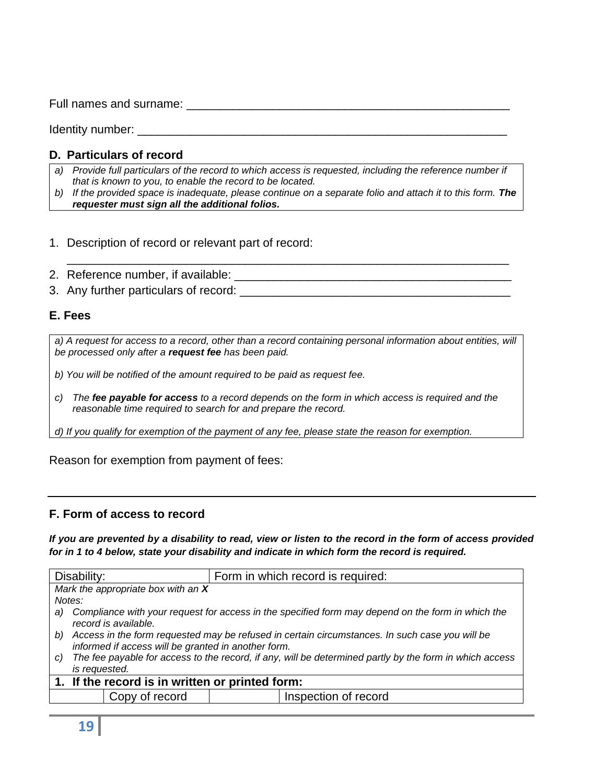Full names and surname: \_\_\_\_\_\_\_\_\_\_\_\_\_\_\_\_\_\_\_\_\_\_\_\_\_\_\_\_\_\_\_\_\_\_\_\_\_\_\_\_\_\_\_\_\_\_\_\_\_

Identity number:  $\blacksquare$ 

## **D. Particulars of record**

- *a) Provide full particulars of the record to which access is requested, including the reference number if that is known to you, to enable the record to be located.*
- *b) If the provided space is inadequate, please continue on a separate folio and attach it to this form. The requester must sign all the additional folios.*
- 1. Description of record or relevant part of record:
- 2. Reference number, if available: \_\_\_\_\_\_\_\_\_\_\_\_\_\_\_\_\_\_\_\_\_\_\_\_\_\_\_\_\_\_\_\_\_\_\_\_\_\_\_\_\_\_
- 3. Any further particulars of record:

## **E. Fees**

a) A request for access to a record, other than a record containing personal information about entities, will *be processed only after a request fee has been paid.*

*b) You will be notified of the amount required to be paid as request fee.*

*c) The fee payable for access to a record depends on the form in which access is required and the reasonable time required to search for and prepare the record.*

*d) If you qualify for exemption of the payment of any fee, please state the reason for exemption.*

Reason for exemption from payment of fees:

#### **F. Form of access to record**

*If you are prevented by a disability to read, view or listen to the record in the form of access provided for in 1 to 4 below, state your disability and indicate in which form the record is required.*

| Disability:                                     |                                                                                                                                                          | Form in which record is required: |                      |  |
|-------------------------------------------------|----------------------------------------------------------------------------------------------------------------------------------------------------------|-----------------------------------|----------------------|--|
|                                                 | Mark the appropriate box with an X                                                                                                                       |                                   |                      |  |
| Notes:                                          |                                                                                                                                                          |                                   |                      |  |
| a)                                              | Compliance with your request for access in the specified form may depend on the form in which the<br>record is available.                                |                                   |                      |  |
|                                                 | b) Access in the form requested may be refused in certain circumstances. In such case you will be<br>informed if access will be granted in another form. |                                   |                      |  |
| C)                                              | The fee payable for access to the record, if any, will be determined partly by the form in which access                                                  |                                   |                      |  |
|                                                 | is requested.                                                                                                                                            |                                   |                      |  |
| 1. If the record is in written or printed form: |                                                                                                                                                          |                                   |                      |  |
|                                                 | Copy of record                                                                                                                                           |                                   | Inspection of record |  |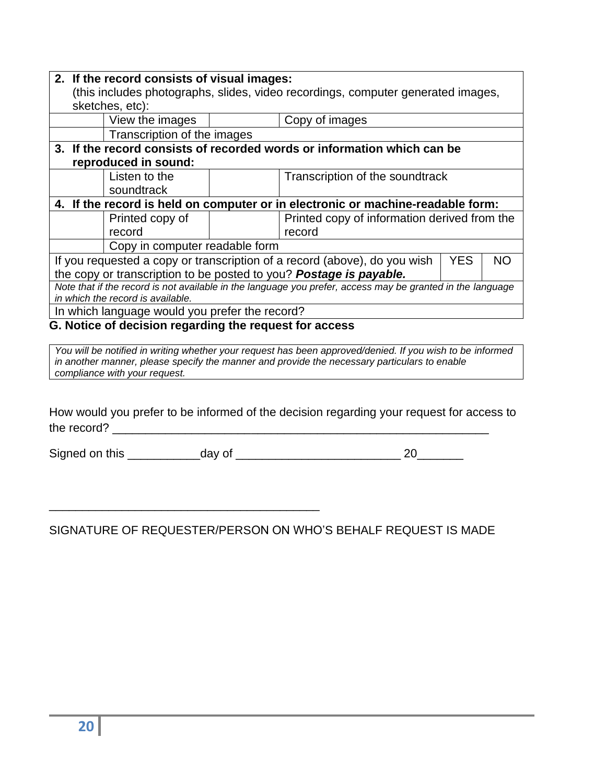|                                                                                                            | 2. If the record consists of visual images:                                      |  |                                              |  |  |
|------------------------------------------------------------------------------------------------------------|----------------------------------------------------------------------------------|--|----------------------------------------------|--|--|
|                                                                                                            | (this includes photographs, slides, video recordings, computer generated images, |  |                                              |  |  |
| sketches, etc):                                                                                            |                                                                                  |  |                                              |  |  |
|                                                                                                            | View the images                                                                  |  | Copy of images                               |  |  |
|                                                                                                            | Transcription of the images                                                      |  |                                              |  |  |
| 3. If the record consists of recorded words or information which can be                                    |                                                                                  |  |                                              |  |  |
| reproduced in sound:                                                                                       |                                                                                  |  |                                              |  |  |
|                                                                                                            | Listen to the                                                                    |  | Transcription of the soundtrack              |  |  |
|                                                                                                            | soundtrack                                                                       |  |                                              |  |  |
| 4. If the record is held on computer or in electronic or machine-readable form:                            |                                                                                  |  |                                              |  |  |
|                                                                                                            | Printed copy of                                                                  |  | Printed copy of information derived from the |  |  |
|                                                                                                            | record                                                                           |  | record                                       |  |  |
|                                                                                                            | Copy in computer readable form                                                   |  |                                              |  |  |
| If you requested a copy or transcription of a record (above), do you wish<br>YES.<br>NΟ                    |                                                                                  |  |                                              |  |  |
| the copy or transcription to be posted to you? Postage is payable.                                         |                                                                                  |  |                                              |  |  |
| Note that if the record is not available in the language you prefer, access may be granted in the language |                                                                                  |  |                                              |  |  |
| in which the record is available.                                                                          |                                                                                  |  |                                              |  |  |
| In which language would you prefer the record?                                                             |                                                                                  |  |                                              |  |  |
| G. Notice of decision regarding the request for access                                                     |                                                                                  |  |                                              |  |  |

*You will be notified in writing whether your request has been approved/denied. If you wish to be informed in another manner, please specify the manner and provide the necessary particulars to enable compliance with your request.*

How would you prefer to be informed of the decision regarding your request for access to the record? \_\_\_\_\_\_\_\_\_\_\_\_\_\_\_\_\_\_\_\_\_\_\_\_\_\_\_\_\_\_\_\_\_\_\_\_\_\_\_\_\_\_\_\_\_\_\_\_\_\_\_\_\_\_\_\_\_

Signed on this \_\_\_\_\_\_\_\_\_\_\_day of \_\_\_\_\_\_\_\_\_\_\_\_\_\_\_\_\_\_\_\_\_\_\_\_\_ 20\_\_\_\_\_\_\_

SIGNATURE OF REQUESTER/PERSON ON WHO'S BEHALF REQUEST IS MADE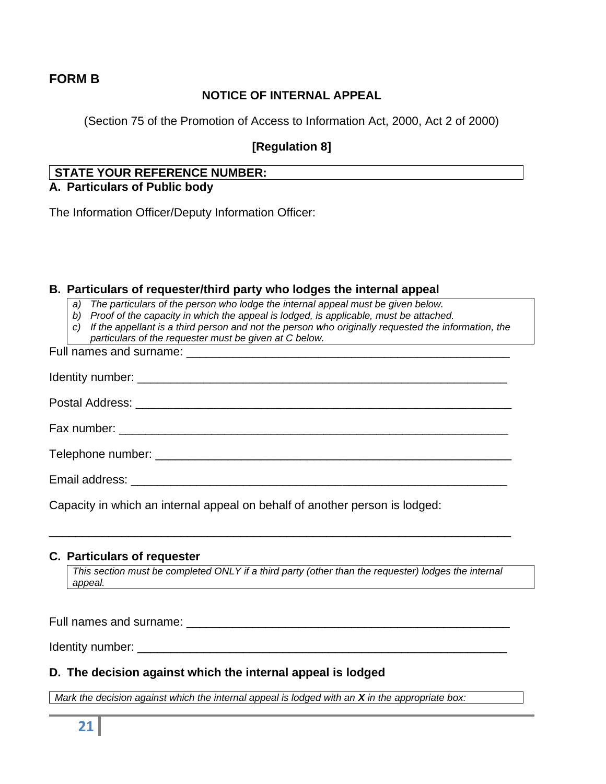#### <span id="page-20-0"></span>**FORM B**

### **NOTICE OF INTERNAL APPEAL**

(Section 75 of the Promotion of Access to Information Act, 2000, Act 2 of 2000)

#### **[Regulation 8]**

## **STATE YOUR REFERENCE NUMBER:**

#### **A. Particulars of Public body**

The Information Officer/Deputy Information Officer:

#### **B. Particulars of requester/third party who lodges the internal appeal**

*a) The particulars of the person who lodge the internal appeal must be given below.*

*b) Proof of the capacity in which the appeal is lodged, is applicable, must be attached.*

*c) If the appellant is a third person and not the person who originally requested the information, the particulars of the requester must be given at C below.*

Full names and surname: Identity number: \_\_\_\_\_\_\_\_\_\_\_\_\_\_\_\_\_\_\_\_\_\_\_\_\_\_\_\_\_\_\_\_\_\_\_\_\_\_\_\_\_\_\_\_\_\_\_\_\_\_\_\_\_\_\_\_ Postal Address: **with a set of the set of the set of the set of the set of the set of the set of the set of the set of the set of the set of the set of the set of the set of the set of the set of the set of the set of the** Fax number: \_\_\_\_\_\_\_\_\_\_\_\_\_\_\_\_\_\_\_\_\_\_\_\_\_\_\_\_\_\_\_\_\_\_\_\_\_\_\_\_\_\_\_\_\_\_\_\_\_\_\_\_\_\_\_\_\_\_\_ Telephone number: \_\_\_\_\_\_\_\_\_\_\_\_\_\_\_\_\_\_\_\_\_\_\_\_\_\_\_\_\_\_\_\_\_\_\_\_\_\_\_\_\_\_\_\_\_\_\_\_\_\_\_\_\_\_ Email address: **Email address:**  $\overline{a}$  and  $\overline{b}$  and  $\overline{c}$  and  $\overline{d}$  and  $\overline{c}$  and  $\overline{c}$  and  $\overline{c}$  and  $\overline{c}$  and  $\overline{c}$  and  $\overline{c}$  and  $\overline{c}$  and  $\overline{c}$  and  $\overline{c}$  and  $\overline{c}$  and  $\overline{c}$ 

Capacity in which an internal appeal on behalf of another person is lodged:

#### **C. Particulars of requester**

*This section must be completed ONLY if a third party (other than the requester) lodges the internal appeal.*

\_\_\_\_\_\_\_\_\_\_\_\_\_\_\_\_\_\_\_\_\_\_\_\_\_\_\_\_\_\_\_\_\_\_\_\_\_\_\_\_\_\_\_\_\_\_\_\_\_\_\_\_\_\_\_\_\_\_\_\_\_\_\_\_\_\_\_\_\_\_

Full names and surname: \_\_\_\_\_\_\_\_\_\_\_\_\_\_\_\_\_\_\_\_\_\_\_\_\_\_\_\_\_\_\_\_\_\_\_\_\_\_\_\_\_\_\_\_\_\_\_\_\_

Identity number:  $\blacksquare$ 

#### **D. The decision against which the internal appeal is lodged**

*Mark the decision against which the internal appeal is lodged with an <i>X* in the appropriate box: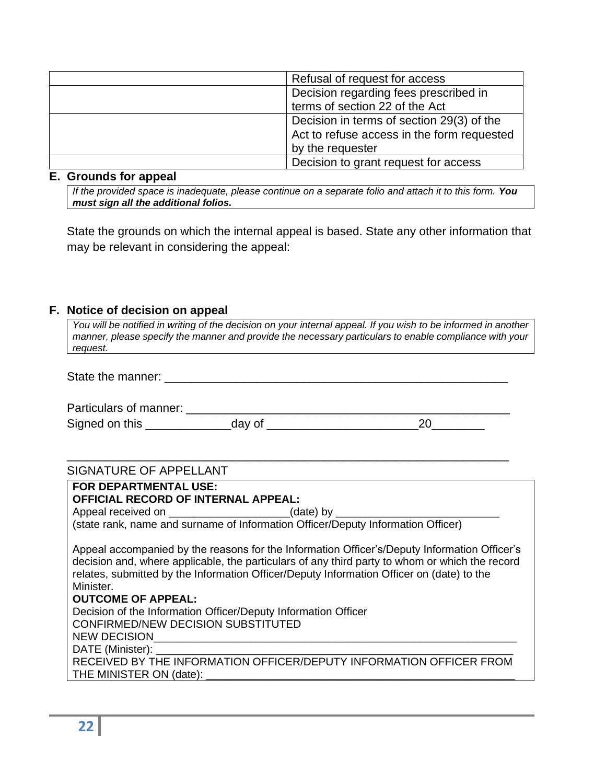| Refusal of request for access              |
|--------------------------------------------|
| Decision regarding fees prescribed in      |
| terms of section 22 of the Act             |
| Decision in terms of section 29(3) of the  |
| Act to refuse access in the form requested |
| by the requester                           |
| Decision to grant request for access       |

#### **E. Grounds for appeal**

*If the provided space is inadequate, please continue on a separate folio and attach it to this form. You must sign all the additional folios.*

State the grounds on which the internal appeal is based. State any other information that may be relevant in considering the appeal:

### **F. Notice of decision on appeal**

| You will be notified in writing of the decision on your internal appeal. If you wish to be informed in another |
|----------------------------------------------------------------------------------------------------------------|
| manner, please specify the manner and provide the necessary particulars to enable compliance with your         |
| request.                                                                                                       |

| State the manner: |  |
|-------------------|--|
|                   |  |

| Particulars of manner: |  |
|------------------------|--|
| Signed on this         |  |

\_\_\_\_\_\_\_\_\_\_\_\_\_\_\_\_\_\_\_\_\_\_\_\_\_\_\_\_\_\_\_\_\_\_\_\_\_\_\_\_\_\_\_\_\_\_\_\_\_\_\_\_\_\_\_\_\_\_\_\_\_\_\_\_\_\_\_

## SIGNATURE OF APPELLANT

| FOR DEPARTMENTAL USE:<br><b>OFFICIAL RECORD OF INTERNAL APPEAL:</b>                                                                                                                                                                                                                                                                                                                                     |
|---------------------------------------------------------------------------------------------------------------------------------------------------------------------------------------------------------------------------------------------------------------------------------------------------------------------------------------------------------------------------------------------------------|
| Appeal received on ___________________________(date) by ________________________                                                                                                                                                                                                                                                                                                                        |
| (state rank, name and surname of Information Officer/Deputy Information Officer)                                                                                                                                                                                                                                                                                                                        |
| Appeal accompanied by the reasons for the Information Officer's/Deputy Information Officer's<br>decision and, where applicable, the particulars of any third party to whom or which the record<br>relates, submitted by the Information Officer/Deputy Information Officer on (date) to the<br>Minister.<br><b>OUTCOME OF APPEAL:</b><br>Decision of the Information Officer/Deputy Information Officer |
| CONFIRMED/NEW DECISION SUBSTITUTED<br><b>NEW DECISION</b>                                                                                                                                                                                                                                                                                                                                               |
| DATE (Minister):                                                                                                                                                                                                                                                                                                                                                                                        |
| RECEIVED BY THE INFORMATION OFFICER/DEPUTY INFORMATION OFFICER FROM                                                                                                                                                                                                                                                                                                                                     |
| THE MINISTER ON (date):                                                                                                                                                                                                                                                                                                                                                                                 |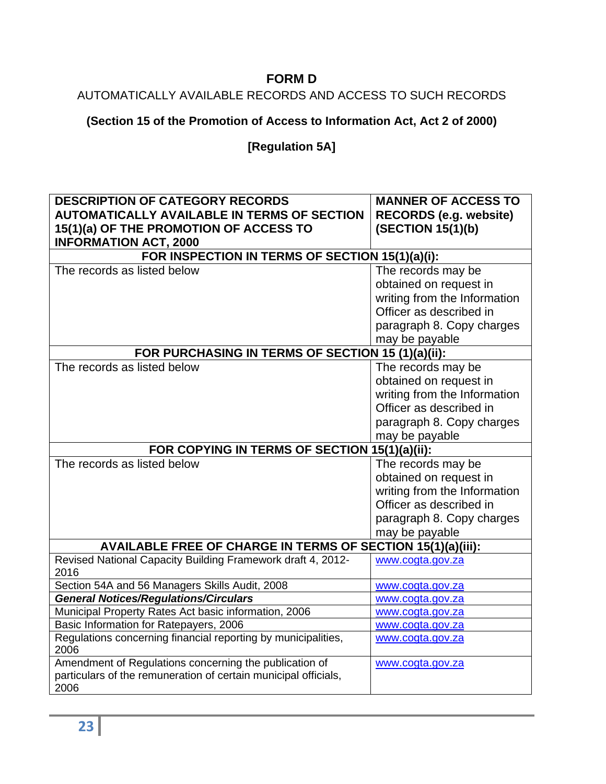# **FORM D**

# <span id="page-22-0"></span>AUTOMATICALLY AVAILABLE RECORDS AND ACCESS TO SUCH RECORDS

# **(Section 15 of the Promotion of Access to Information Act, Act 2 of 2000)**

# **[Regulation 5A]**

| <b>DESCRIPTION OF CATEGORY RECORDS</b>                                | <b>MANNER OF ACCESS TO</b>    |  |
|-----------------------------------------------------------------------|-------------------------------|--|
| <b>AUTOMATICALLY AVAILABLE IN TERMS OF SECTION</b>                    | <b>RECORDS (e.g. website)</b> |  |
| 15(1)(a) OF THE PROMOTION OF ACCESS TO                                | (SECTION 15(1)(b)             |  |
| <b>INFORMATION ACT, 2000</b>                                          |                               |  |
| FOR INSPECTION IN TERMS OF SECTION 15(1)(a)(i):                       |                               |  |
| The records as listed below                                           | The records may be            |  |
|                                                                       | obtained on request in        |  |
|                                                                       | writing from the Information  |  |
|                                                                       | Officer as described in       |  |
|                                                                       | paragraph 8. Copy charges     |  |
|                                                                       | may be payable                |  |
| FOR PURCHASING IN TERMS OF SECTION 15 (1)(a)(ii):                     |                               |  |
| The records as listed below                                           | The records may be            |  |
|                                                                       | obtained on request in        |  |
|                                                                       | writing from the Information  |  |
|                                                                       | Officer as described in       |  |
|                                                                       | paragraph 8. Copy charges     |  |
|                                                                       | may be payable                |  |
| FOR COPYING IN TERMS OF SECTION 15(1)(a)(ii):                         |                               |  |
| The records as listed below                                           | The records may be            |  |
|                                                                       | obtained on request in        |  |
|                                                                       | writing from the Information  |  |
|                                                                       | Officer as described in       |  |
|                                                                       | paragraph 8. Copy charges     |  |
|                                                                       | may be payable                |  |
| AVAILABLE FREE OF CHARGE IN TERMS OF SECTION 15(1)(a)(iii):           |                               |  |
| Revised National Capacity Building Framework draft 4, 2012-<br>2016   | www.cogta.gov.za              |  |
| Section 54A and 56 Managers Skills Audit, 2008                        | www.cogta.gov.za              |  |
| <b>General Notices/Regulations/Circulars</b>                          | www.cogta.gov.za              |  |
| Municipal Property Rates Act basic information, 2006                  | www.cogta.gov.za              |  |
| Basic Information for Ratepayers, 2006                                | www.cogta.gov.za              |  |
| Regulations concerning financial reporting by municipalities,<br>2006 | www.cogta.gov.za              |  |
| Amendment of Regulations concerning the publication of                | www.cogta.gov.za              |  |
| particulars of the remuneration of certain municipal officials,       |                               |  |
| 2006                                                                  |                               |  |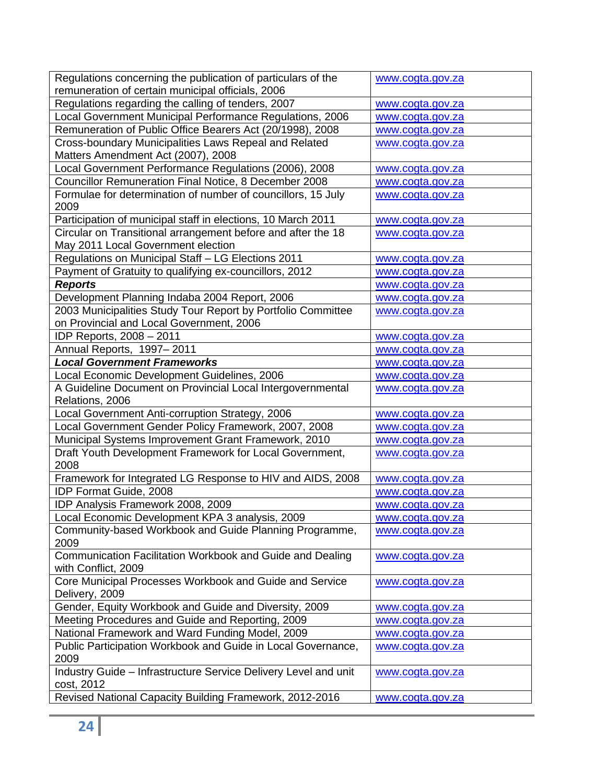| Regulations concerning the publication of particulars of the                                             | www.cogta.gov.za |
|----------------------------------------------------------------------------------------------------------|------------------|
| remuneration of certain municipal officials, 2006                                                        |                  |
| Regulations regarding the calling of tenders, 2007                                                       | www.cogta.gov.za |
| Local Government Municipal Performance Regulations, 2006                                                 | www.cogta.gov.za |
| Remuneration of Public Office Bearers Act (20/1998), 2008                                                | www.cogta.gov.za |
| Cross-boundary Municipalities Laws Repeal and Related<br>Matters Amendment Act (2007), 2008              | www.cogta.gov.za |
| Local Government Performance Regulations (2006), 2008                                                    | www.cogta.gov.za |
| Councillor Remuneration Final Notice, 8 December 2008                                                    | www.cogta.gov.za |
| Formulae for determination of number of councillors, 15 July<br>2009                                     | www.cogta.gov.za |
| Participation of municipal staff in elections, 10 March 2011                                             | www.cogta.gov.za |
| Circular on Transitional arrangement before and after the 18<br>May 2011 Local Government election       | www.cogta.gov.za |
| Regulations on Municipal Staff - LG Elections 2011                                                       | www.cogta.gov.za |
| Payment of Gratuity to qualifying ex-councillors, 2012                                                   | www.cogta.gov.za |
| <b>Reports</b>                                                                                           | www.cogta.gov.za |
| Development Planning Indaba 2004 Report, 2006                                                            | www.cogta.gov.za |
| 2003 Municipalities Study Tour Report by Portfolio Committee<br>on Provincial and Local Government, 2006 | www.cogta.gov.za |
| IDP Reports, 2008 - 2011                                                                                 | www.cogta.gov.za |
| Annual Reports, 1997-2011                                                                                | www.cogta.gov.za |
| <b>Local Government Frameworks</b>                                                                       | www.cogta.gov.za |
| Local Economic Development Guidelines, 2006                                                              | www.cogta.gov.za |
| A Guideline Document on Provincial Local Intergovernmental                                               | www.cogta.gov.za |
| Relations, 2006                                                                                          |                  |
| Local Government Anti-corruption Strategy, 2006                                                          | www.cogta.gov.za |
| Local Government Gender Policy Framework, 2007, 2008                                                     | www.cogta.gov.za |
| Municipal Systems Improvement Grant Framework, 2010                                                      | www.cogta.gov.za |
| Draft Youth Development Framework for Local Government,<br>2008                                          | www.cogta.gov.za |
| Framework for Integrated LG Response to HIV and AIDS, 2008                                               | www.cogta.gov.za |
| IDP Format Guide, 2008                                                                                   | www.cogta.gov.za |
| IDP Analysis Framework 2008, 2009                                                                        | www.cogta.gov.za |
| Local Economic Development KPA 3 analysis, 2009                                                          | www.cogta.gov.za |
| Community-based Workbook and Guide Planning Programme,<br>2009                                           | www.cogta.gov.za |
| Communication Facilitation Workbook and Guide and Dealing<br>with Conflict, 2009                         | www.cogta.gov.za |
| Core Municipal Processes Workbook and Guide and Service<br>Delivery, 2009                                | www.cogta.gov.za |
| Gender, Equity Workbook and Guide and Diversity, 2009                                                    | www.cogta.gov.za |
| Meeting Procedures and Guide and Reporting, 2009                                                         | www.cogta.gov.za |
| National Framework and Ward Funding Model, 2009                                                          | www.cogta.gov.za |
| Public Participation Workbook and Guide in Local Governance,<br>2009                                     | www.cogta.gov.za |
| Industry Guide - Infrastructure Service Delivery Level and unit<br>cost, 2012                            | www.cogta.gov.za |
| Revised National Capacity Building Framework, 2012-2016                                                  | www.cogta.gov.za |